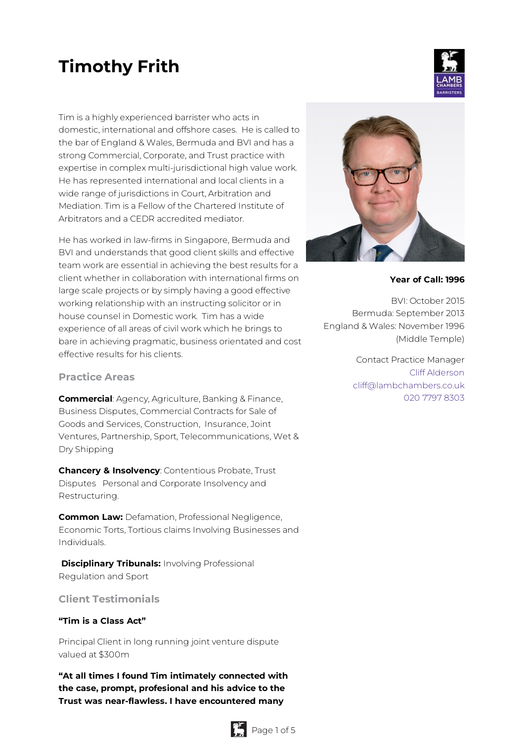# **Timothy Frith**

Tim is a highly experienced barrister who acts in domestic, international and offshore cases. He is called to the bar of England & Wales, Bermuda and BVI and has a strong Commercial, Corporate, and Trust practice with expertise in complex multi-jurisdictional high value work. He has represented international and local clients in a wide range of jurisdictions in Court, Arbitration and Mediation. Tim is a Fellow of the Chartered Institute of Arbitrators and a CEDR accredited mediator.

He has worked in law-firms in Singapore, Bermuda and BVI and understands that good client skills and effective team work are essential in achieving the best results for a client whether in collaboration with international firms on large scale projects or by simply having a good effective working relationship with an instructing solicitor or in house counsel in Domestic work. Tim has a wide experience of all areas of civil work which he brings to bare in achieving pragmatic, business orientated and cost effective results for his clients.

#### **Practice Areas**

**Commercial**: Agency, Agriculture, Banking & Finance, Business Disputes, Commercial Contracts for Sale of Goods and Services, Construction, Insurance, Joint Ventures, Partnership, Sport, Telecommunications, Wet & Dry Shipping

**Chancery & Insolvency**: Contentious Probate, Trust Disputes Personal and Corporate Insolvency and Restructuring.

**Common Law:** Defamation, Professional Negligence, Economic Torts, Tortious claims Involving Businesses and Individuals.

**Disciplinary Tribunals:** Involving Professional Regulation and Sport

# **Client Testimonials**

#### **"Tim is a Class Act"**

Principal Client in long running joint venture dispute valued at \$300m

**"At all times I found Tim intimately connected with the case, prompt, profesional and his advice to the Trust was near-flawless. I have encountered many**





#### **Year of Call: 1996**

BVI: October 2015 Bermuda: September 2013 England & Wales: November 1996 (Middle Temple)

> Contact Practice Manager Cliff [Alderson](mailto:cliff@lambchambers.co.uk) [cliff@lambchambers.co.uk](mailto:cliff@lambchambers.co.uk) 020 7797 [8303](tel:020%207797%208303)

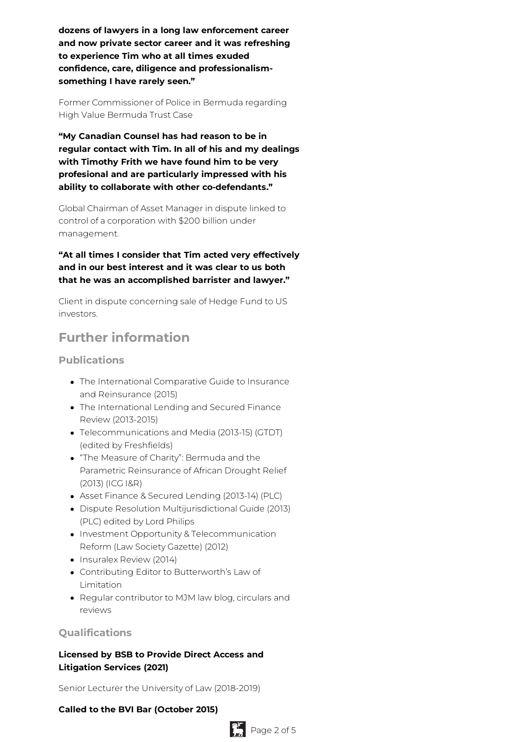**dozens of lawyers in a long law enforcement career and now private sector career and it was refreshing to experience Tim who at all times exuded confidence, care, diligence and professionalismsomething I have rarely seen."**

Former Commissioner of Police in Bermuda regarding High Value Bermuda Trust Case

**"My Canadian Counsel has had reason to be in regular contact with Tim. In all of his and my dealings with Timothy Frith we have found him to be very profesional and are particularly impressed with his ability to collaborate with other co-defendants."**

Global Chairman of Asset Manager in dispute linked to control of a corporation with \$200 billion under management.

**"At all times I consider that Tim acted very effectively and in our best interest and it was clear to us both that he was an accomplished barrister and lawyer."**

Client in dispute concerning sale of Hedge Fund to US investors.

# **Further information**

### **Publications**

- The International Comparative Guide to Insurance and Reinsurance (2015)
- The International Lending and Secured Finance Review (2013-2015)
- Telecommunications and Media (2013-15) (GTDT) (edited by Freshfields)
- "The Measure of Charity": Bermuda and the Parametric Reinsurance of African Drought Relief (2013) (ICG I&R)
- Asset Finance & Secured Lending (2013-14) (PLC)
- Dispute Resolution Multijurisdictional Guide (2013) (PLC) edited by Lord Philips
- Investment Opportunity & Telecommunication Reform (Law Society Gazette) (2012)
- Insuralex Review (2014)
- Contributing Editor to Butterworth's Law of Limitation
- Regular contributor to MJM law blog, circulars and reviews

# **Qualifications**

# **Licensed by BSB to Provide Direct Access and Litigation Services (2021)**

Senior Lecturer the University of Law (2018-2019)

#### **Called to the BVI Bar (October 2015)**

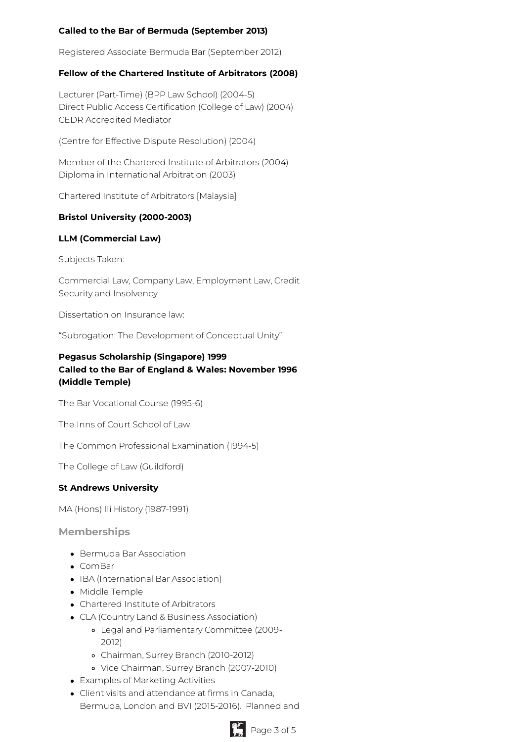# **Called to the Bar of Bermuda (September 2013)**

Registered Associate Bermuda Bar (September 2012)

#### **Fellow of the Chartered Institute of Arbitrators (2008)**

Lecturer (Part-Time) (BPP Law School) (2004-5) Direct Public Access Certification (College of Law) (2004) CEDR Accredited Mediator

(Centre for Effective Dispute Resolution) (2004)

Member of the Chartered Institute of Arbitrators (2004) Diploma in International Arbitration (2003)

Chartered Institute of Arbitrators [Malaysia]

#### **Bristol University (2000-2003)**

#### **LLM (Commercial Law)**

Subjects Taken:

Commercial Law, Company Law, Employment Law, Credit Security and Insolvency

Dissertation on Insurance law:

"Subrogation: The Development of Conceptual Unity"

# **Pegasus Scholarship (Singapore) 1999 Called to the Bar of England & Wales: November 1996 (Middle Temple)**

The Bar Vocational Course (1995-6)

The Inns of Court School of Law

The Common Professional Examination (1994-5)

The College of Law (Guildford)

#### **St Andrews University**

MA (Hons) IIi History (1987-1991)

**Memberships**

- Bermuda Bar Association
- ComBar
- IBA (International Bar Association)
- Middle Temple
- Chartered Institute of Arbitrators
- CLA (Country Land & Business Association)
	- Legal and Parliamentary Committee (2009- 2012)
	- Chairman, Surrey Branch (2010-2012)
	- Vice Chairman, Surrey Branch (2007-2010)
- Examples of Marketing Activities
- Client visits and attendance at firms in Canada, Bermuda, London and BVI (2015-2016). Planned and

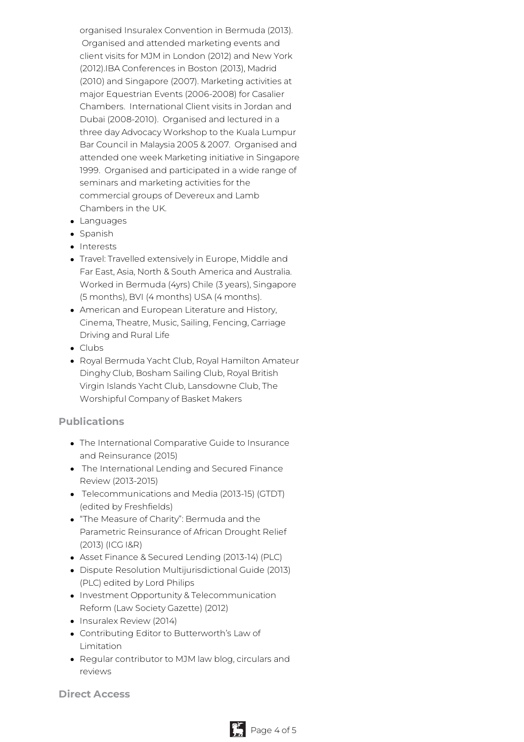organised Insuralex Convention in Bermuda (2013). Organised and attended marketing events and client visits for MJM in London (2012) and New York (2012).IBA Conferences in Boston (2013), Madrid (2010) and Singapore (2007). Marketing activities at major Equestrian Events (2006-2008) for Casalier Chambers. International Client visits in Jordan and Dubai (2008-2010). Organised and lectured in a three day Advocacy Workshop to the Kuala Lumpur Bar Council in Malaysia 2005 & 2007. Organised and attended one week Marketing initiative in Singapore 1999. Organised and participated in a wide range of seminars and marketing activities for the commercial groups of Devereux and Lamb Chambers in the UK.

- Languages
- Spanish
- Interests
- Travel: Travelled extensively in Europe, Middle and Far East, Asia, North & South America and Australia. Worked in Bermuda (4yrs) Chile (3 years), Singapore (5 months), BVI (4 months) USA (4 months).
- American and European Literature and History, Cinema, Theatre, Music, Sailing, Fencing, Carriage Driving and Rural Life
- Clubs
- Royal Bermuda Yacht Club, Royal Hamilton Amateur Dinghy Club, Bosham Sailing Club, Royal British Virgin Islands Yacht Club, Lansdowne Club, The Worshipful Company of Basket Makers

#### **Publications**

- The International Comparative Guide to Insurance and Reinsurance (2015)
- The International Lending and Secured Finance Review (2013-2015)
- Telecommunications and Media (2013-15) (GTDT) (edited by Freshfields)
- "The Measure of Charity": Bermuda and the Parametric Reinsurance of African Drought Relief (2013) (ICG I&R)
- Asset Finance & Secured Lending (2013-14) (PLC)
- Dispute Resolution Multijurisdictional Guide (2013) (PLC) edited by Lord Philips
- Investment Opportunity & Telecommunication Reform (Law Society Gazette) (2012)
- Insuralex Review (2014)
- Contributing Editor to Butterworth's Law of Limitation
- Regular contributor to MJM law blog, circulars and reviews

**Direct Access**